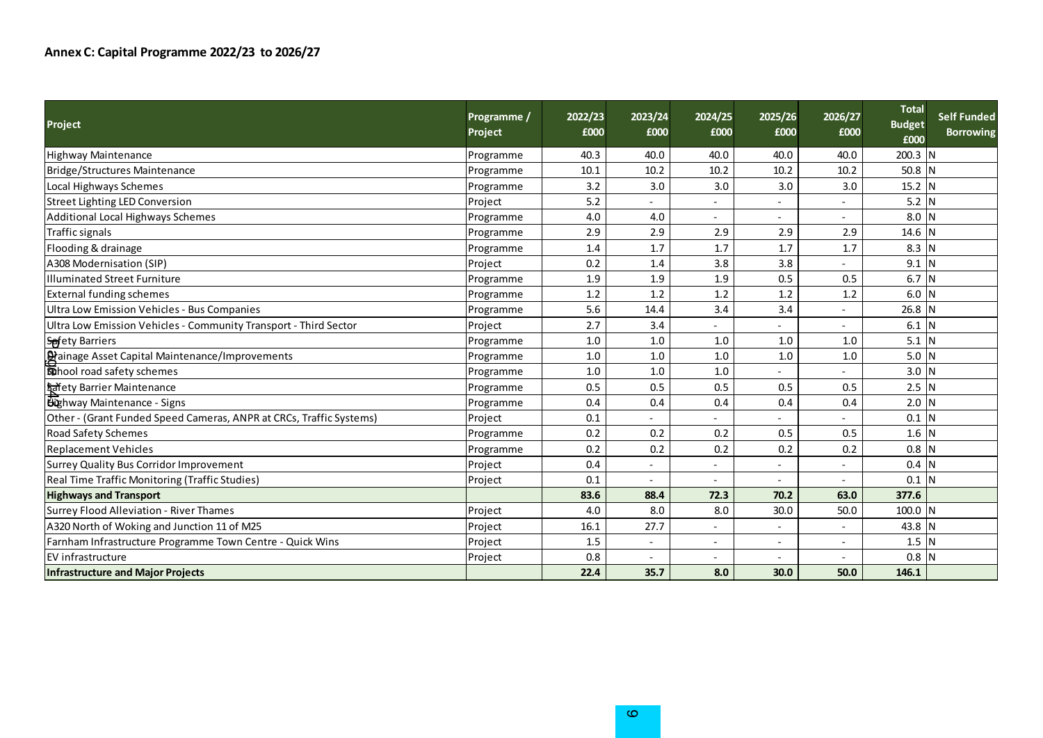| <b>Project</b>                                                      | Programme /<br>Project | 2022/23<br>£000 | 2023/24<br>£000 | 2024/25<br>£000 | 2025/26<br>£000 | 2026/27<br>£000 | <b>Total</b><br><b>Budget</b><br>£000 | <b>Self Funded</b><br><b>Borrowing</b> |
|---------------------------------------------------------------------|------------------------|-----------------|-----------------|-----------------|-----------------|-----------------|---------------------------------------|----------------------------------------|
| <b>Highway Maintenance</b>                                          | Programme              | 40.3            | 40.0            | 40.0            | 40.0            | 40.0            | 200.3 N                               |                                        |
| Bridge/Structures Maintenance                                       | Programme              | 10.1            | 10.2            | 10.2            | 10.2            | 10.2            | $50.8$ N                              |                                        |
| Local Highways Schemes                                              | Programme              | 3.2             | 3.0             | 3.0             | 3.0             | 3.0             | 15.2 N                                |                                        |
| Street Lighting LED Conversion                                      | Project                | 5.2             |                 |                 |                 |                 | $5.2$ N                               |                                        |
| Additional Local Highways Schemes                                   | Programme              | 4.0             | 4.0             |                 |                 |                 | $8.0$ N                               |                                        |
| Traffic signals                                                     | Programme              | 2.9             | 2.9             | 2.9             | 2.9             | 2.9             | 14.6                                  |                                        |
| Flooding & drainage                                                 | Programme              | 1.4             | 1.7             | 1.7             | 1.7             | 1.7             | $8.3$ N                               |                                        |
| A308 Modernisation (SIP)                                            | Project                | 0.2             | 1.4             | 3.8             | 3.8             |                 | $9.1$ N                               |                                        |
| Illuminated Street Furniture                                        | Programme              | 1.9             | 1.9             | 1.9             | 0.5             | 0.5             | 6.7 N                                 |                                        |
| <b>External funding schemes</b>                                     | Programme              | 1.2             | 1.2             | 1.2             | 1.2             | 1.2             | 6.0                                   | N                                      |
| Ultra Low Emission Vehicles - Bus Companies                         | Programme              | 5.6             | 14.4            | 3.4             | 3.4             |                 | 26.8                                  |                                        |
| Ultra Low Emission Vehicles - Community Transport - Third Sector    | Project                | 2.7             | 3.4             |                 |                 |                 | $6.1$ N                               |                                        |
| <b>Spfety Barriers</b>                                              | Programme              | 1.0             | 1.0             | 1.0             | 1.0             | 1.0             | $5.1$ N                               |                                        |
| Dainage Asset Capital Maintenance/Improvements                      | Programme              | 1.0             | 1.0             | 1.0             | 1.0             | 1.0             | 5.0 <sub>N</sub>                      |                                        |
| <b>Statube 1</b> coad safety schemes                                | Programme              | 1.0             | 1.0             | 1.0             |                 |                 | $3.0$ N                               |                                        |
| <b>Safety Barrier Maintenance</b>                                   | Programme              | 0.5             | 0.5             | 0.5             | 0.5             | 0.5             | $2.5$ N                               |                                        |
| <b>Bighway Maintenance - Signs</b>                                  | Programme              | 0.4             | 0.4             | 0.4             | 0.4             | 0.4             | $2.0$ N                               |                                        |
| Other - (Grant Funded Speed Cameras, ANPR at CRCs, Traffic Systems) | Project                | 0.1             |                 |                 |                 |                 | $0.1$ N                               |                                        |
| <b>Road Safety Schemes</b>                                          | Programme              | 0.2             | 0.2             | 0.2             | 0.5             | 0.5             | $1.6$ N                               |                                        |
| <b>Replacement Vehicles</b>                                         | Programme              | 0.2             | 0.2             | 0.2             | 0.2             | 0.2             | 0.8                                   |                                        |
| Surrey Quality Bus Corridor Improvement                             | Project                | 0.4             |                 |                 |                 |                 | 0.4                                   | N                                      |
| Real Time Traffic Monitoring (Traffic Studies)                      | Project                | 0.1             |                 |                 |                 | ٠               | $0.1$ N                               |                                        |
| <b>Highways and Transport</b>                                       |                        | 83.6            | 88.4            | 72.3            | 70.2            | 63.0            | 377.6                                 |                                        |
| Surrey Flood Alleviation - River Thames                             | Project                | 4.0             | 8.0             | 8.0             | 30.0            | 50.0            | 100.0 N                               |                                        |
| A320 North of Woking and Junction 11 of M25                         | Project                | 16.1            | 27.7            |                 |                 |                 | 43.8                                  |                                        |
| Farnham Infrastructure Programme Town Centre - Quick Wins           | Project                | 1.5             |                 |                 |                 |                 | 1.5                                   | N                                      |
| <b>EV</b> infrastructure                                            | Project                | 0.8             |                 |                 |                 |                 | $0.8$ N                               |                                        |
| <b>Infrastructure and Major Projects</b>                            |                        | 22.4            | 35.7            | 8.0             | 30.0            | 50.0            | 146.1                                 |                                        |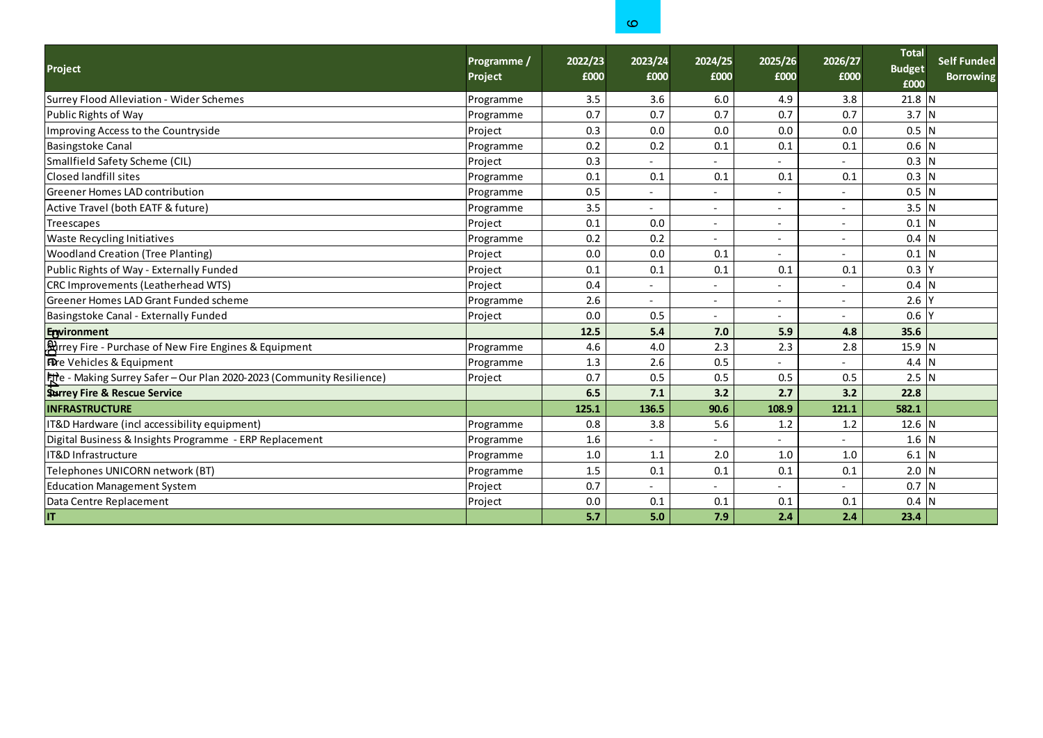|                                                                        |                        |                 | O.              |                          |                          |                 |                                       |                                        |
|------------------------------------------------------------------------|------------------------|-----------------|-----------------|--------------------------|--------------------------|-----------------|---------------------------------------|----------------------------------------|
| <b>Project</b>                                                         | Programme /<br>Project | 2022/23<br>£000 | 2023/24<br>£000 | 2024/25<br>£000          | 2025/26<br>£000          | 2026/27<br>£000 | <b>Total</b><br><b>Budget</b><br>£000 | <b>Self Funded</b><br><b>Borrowing</b> |
| Surrey Flood Alleviation - Wider Schemes                               | Programme              | 3.5             | 3.6             | 6.0                      | 4.9                      | 3.8             | $21.8$ N                              |                                        |
| Public Rights of Way                                                   | Programme              | 0.7             | 0.7             | 0.7                      | 0.7                      | 0.7             | $3.7$ N                               |                                        |
| Improving Access to the Countryside                                    | Project                | 0.3             | 0.0             | 0.0                      | 0.0                      | 0.0             | $0.5$ N                               |                                        |
| <b>Basingstoke Canal</b>                                               | Programme              | 0.2             | 0.2             | 0.1                      | 0.1                      | 0.1             | $0.6$ N                               |                                        |
| Smallfield Safety Scheme (CIL)                                         | Project                | 0.3             |                 |                          |                          |                 | $0.3$ N                               |                                        |
| Closed landfill sites                                                  | Programme              | 0.1             | 0.1             | 0.1                      | 0.1                      | 0.1             | $0.3$ N                               |                                        |
| <b>Greener Homes LAD contribution</b>                                  | Programme              | 0.5             | ۰               | ٠                        |                          |                 | $0.5$ N                               |                                        |
| Active Travel (both EATF & future)                                     | Programme              | 3.5             | ÷,              | $\overline{\phantom{0}}$ | $\overline{\phantom{0}}$ |                 | $3.5$ N                               |                                        |
| Treescapes                                                             | Project                | 0.1             | 0.0             | ۰                        |                          |                 | $0.1$ N                               |                                        |
| <b>Waste Recycling Initiatives</b>                                     | Programme              | 0.2             | 0.2             | $\qquad \qquad -$        | $\qquad \qquad -$        | $\qquad \qquad$ | 0.4                                   | IΝ                                     |
| <b>Woodland Creation (Tree Planting)</b>                               | Project                | 0.0             | 0.0             | 0.1                      |                          |                 | 0.1                                   |                                        |
| Public Rights of Way - Externally Funded                               | Project                | 0.1             | 0.1             | 0.1                      | 0.1                      | 0.1             | 0.3                                   |                                        |
| CRC Improvements (Leatherhead WTS)                                     | Project                | 0.4             |                 |                          |                          |                 | 0.4                                   |                                        |
| Greener Homes LAD Grant Funded scheme                                  | Programme              | 2.6             |                 | ۰                        | ۰                        |                 | 2.6                                   |                                        |
| Basingstoke Canal - Externally Funded                                  | Project                | 0.0             | 0.5             | $\overline{\phantom{0}}$ |                          |                 | 0.6                                   |                                        |
| Environment                                                            |                        | 12.5            | 5.4             | 7.0                      | 5.9                      | 4.8             | 35.6                                  |                                        |
| <b>Arrey Fire - Purchase of New Fire Engines &amp; Equipment</b>       | Programme              | 4.6             | 4.0             | 2.3                      | 2.3                      | 2.8             | 15.9 N                                |                                        |
| <b>Fore Vehicles &amp; Equipment</b>                                   | Programme              | 1.3             | 2.6             | 0.5                      |                          |                 | 4.4                                   |                                        |
| Fite - Making Surrey Safer - Our Plan 2020-2023 (Community Resilience) | Project                | 0.7             | 0.5             | 0.5                      | 0.5                      | 0.5             | $2.5$ N                               |                                        |
| Starrey Fire & Rescue Service                                          |                        | 6.5             | 7.1             | 3.2                      | 2.7                      | 3.2             | 22.8                                  |                                        |
| <b>INFRASTRUCTURE</b>                                                  |                        | 125.1           | 136.5           | 90.6                     | 108.9                    | 121.1           | 582.1                                 |                                        |
| IT&D Hardware (incl accessibility equipment)                           | Programme              | 0.8             | 3.8             | 5.6                      | 1.2                      | 1.2             | $12.6$ N                              |                                        |
| Digital Business & Insights Programme - ERP Replacement                | Programme              | 1.6             |                 |                          | ۰                        |                 | $1.6$ N                               |                                        |
| <b>IT&amp;D Infrastructure</b>                                         | Programme              | 1.0             | 1.1             | 2.0                      | 1.0                      | 1.0             | 6.1                                   |                                        |
| Telephones UNICORN network (BT)                                        | Programme              | 1.5             | 0.1             | 0.1                      | 0.1                      | 0.1             | $2.0$ N                               |                                        |
| <b>Education Management System</b>                                     | Project                | 0.7             |                 |                          |                          |                 | $0.7$ N                               |                                        |
| Data Centre Replacement                                                | Project                | 0.0             | 0.1             | 0.1                      | 0.1                      | 0.1             | $0.4$ N                               |                                        |
| IT                                                                     |                        | 5.7             | 5.0             | 7.9                      | 2.4                      | 2.4             | 23.4                                  |                                        |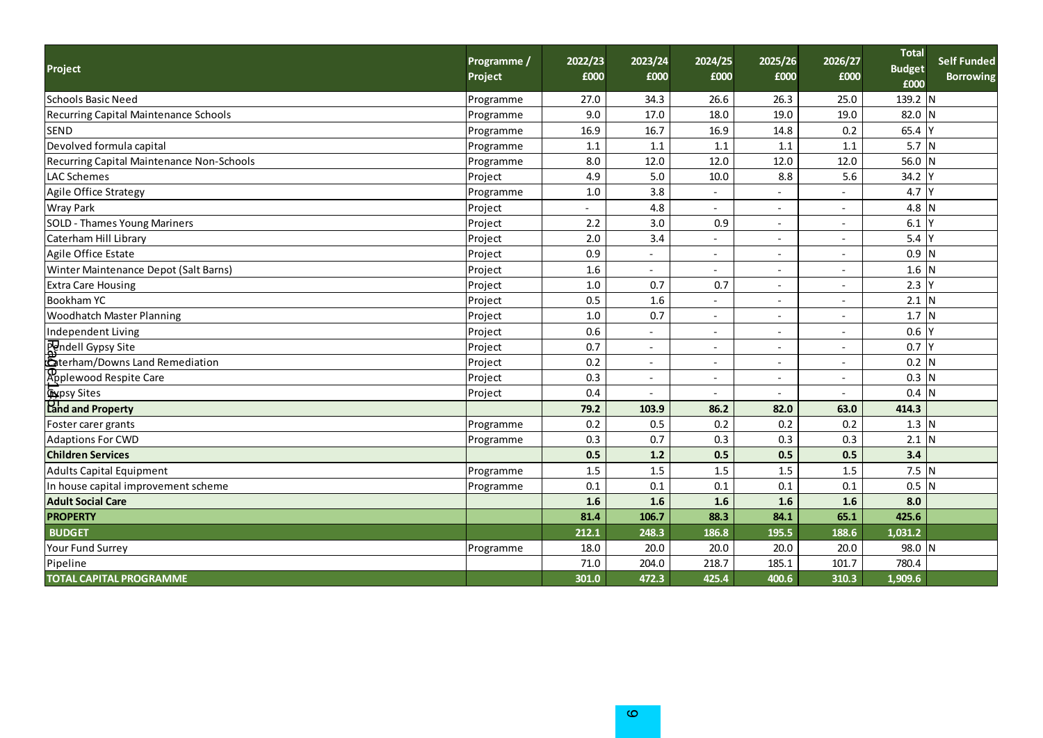| Project                                   | Programme /<br>Project | 2022/23<br>£000 | 2023/24<br>£000          | 2024/25<br>£000          | 2025/26<br>£000          | 2026/27<br>£000          | <b>Total</b><br><b>Budget</b><br>£000 | <b>Self Funded</b><br><b>Borrowing</b> |
|-------------------------------------------|------------------------|-----------------|--------------------------|--------------------------|--------------------------|--------------------------|---------------------------------------|----------------------------------------|
| Schools Basic Need                        | Programme              | 27.0            | 34.3                     | 26.6                     | 26.3                     | 25.0                     | 139.2 N                               |                                        |
| Recurring Capital Maintenance Schools     | Programme              | 9.0             | 17.0                     | 18.0                     | 19.0                     | 19.0                     | 82.0 N                                |                                        |
| <b>SEND</b>                               | Programme              | 16.9            | 16.7                     | 16.9                     | 14.8                     | 0.2                      | 65.4                                  |                                        |
| Devolved formula capital                  | Programme              | 1.1             | 1.1                      | 1.1                      | 1.1                      | 1.1                      | 5.7 N                                 |                                        |
| Recurring Capital Maintenance Non-Schools | Programme              | 8.0             | 12.0                     | 12.0                     | 12.0                     | 12.0                     | 56.0 N                                |                                        |
| <b>LAC Schemes</b>                        | Project                | 4.9             | 5.0                      | 10.0                     | 8.8                      | 5.6                      | 34.2                                  |                                        |
| Agile Office Strategy                     | Programme              | $1.0\,$         | 3.8                      |                          |                          |                          | 4.7                                   |                                        |
| <b>Wray Park</b>                          | Project                |                 | 4.8                      |                          |                          |                          | 4.8                                   |                                        |
| <b>SOLD - Thames Young Mariners</b>       | Project                | 2.2             | 3.0                      | 0.9                      |                          |                          | 6.1                                   |                                        |
| Caterham Hill Library                     | Project                | 2.0             | 3.4                      |                          | $\overline{\phantom{a}}$ | $\overline{\phantom{a}}$ | 5.4                                   |                                        |
| Agile Office Estate                       | Project                | 0.9             |                          |                          |                          | $\overline{\phantom{a}}$ | 0.9                                   | N                                      |
| Winter Maintenance Depot (Salt Barns)     | Project                | 1.6             |                          |                          |                          |                          | 1.6                                   | N                                      |
| <b>Extra Care Housing</b>                 | Project                | 1.0             | 0.7                      | 0.7                      |                          |                          | 2.3                                   |                                        |
| <b>Bookham YC</b>                         | Project                | 0.5             | 1.6                      |                          |                          | $\blacksquare$           | $2.1$ N                               |                                        |
| <b>Woodhatch Master Planning</b>          | Project                | 1.0             | 0.7                      |                          |                          |                          | $1.7$ N                               |                                        |
| Independent Living                        | Project                | 0.6             |                          |                          |                          |                          | 0.6                                   |                                        |
| Pondell Gypsy Site                        | Project                | 0.7             |                          |                          |                          |                          | 0.7                                   |                                        |
| <b>A</b> terham/Downs Land Remediation    | Project                | 0.2             | $\overline{\phantom{a}}$ | $\overline{\phantom{a}}$ | $\overline{\phantom{a}}$ | $\overline{\phantom{a}}$ | $0.2$ N                               |                                        |
| Applewood Respite Care                    | Project                | 0.3             | $\overline{\phantom{a}}$ |                          |                          | $\overline{\phantom{a}}$ | $0.3$ N                               |                                        |
| <b>Cypsy Sites</b>                        | Project                | 0.4             |                          |                          |                          |                          | 0.4                                   | N                                      |
| <b>Pand and Property</b>                  |                        | 79.2            | 103.9                    | 86.2                     | 82.0                     | 63.0                     | 414.3                                 |                                        |
| Foster carer grants                       | Programme              | 0.2             | 0.5                      | 0.2                      | 0.2                      | 0.2                      | $1.3$ N                               |                                        |
| <b>Adaptions For CWD</b>                  | Programme              | 0.3             | 0.7                      | 0.3                      | 0.3                      | 0.3                      | 2.1                                   | N                                      |
| <b>Children Services</b>                  |                        | 0.5             | 1.2                      | 0.5                      | 0.5                      | 0.5                      | 3.4                                   |                                        |
| Adults Capital Equipment                  | Programme              | 1.5             | 1.5                      | 1.5                      | 1.5                      | 1.5                      | $7.5$ N                               |                                        |
| In house capital improvement scheme       | Programme              | 0.1             | 0.1                      | 0.1                      | 0.1                      | 0.1                      | $0.5$ N                               |                                        |
| <b>Adult Social Care</b>                  |                        | 1.6             | 1.6                      | 1.6                      | 1.6                      | 1.6                      | 8.0                                   |                                        |
| <b>PROPERTY</b>                           |                        | 81.4            | 106.7                    | 88.3                     | 84.1                     | 65.1                     | 425.6                                 |                                        |
| <b>BUDGET</b>                             |                        | 212.1           | 248.3                    | 186.8                    | 195.5                    | 188.6                    | 1,031.2                               |                                        |
| Your Fund Surrey                          | Programme              | 18.0            | 20.0                     | 20.0                     | 20.0                     | 20.0                     | 98.0 N                                |                                        |
| Pipeline                                  |                        | 71.0            | 204.0                    | 218.7                    | 185.1                    | 101.7                    | 780.4                                 |                                        |
| <b>TOTAL CAPITAL PROGRAMME</b>            |                        | 301.0           | 472.3                    | 425.4                    | 400.6                    | 310.3                    | 1,909.6                               |                                        |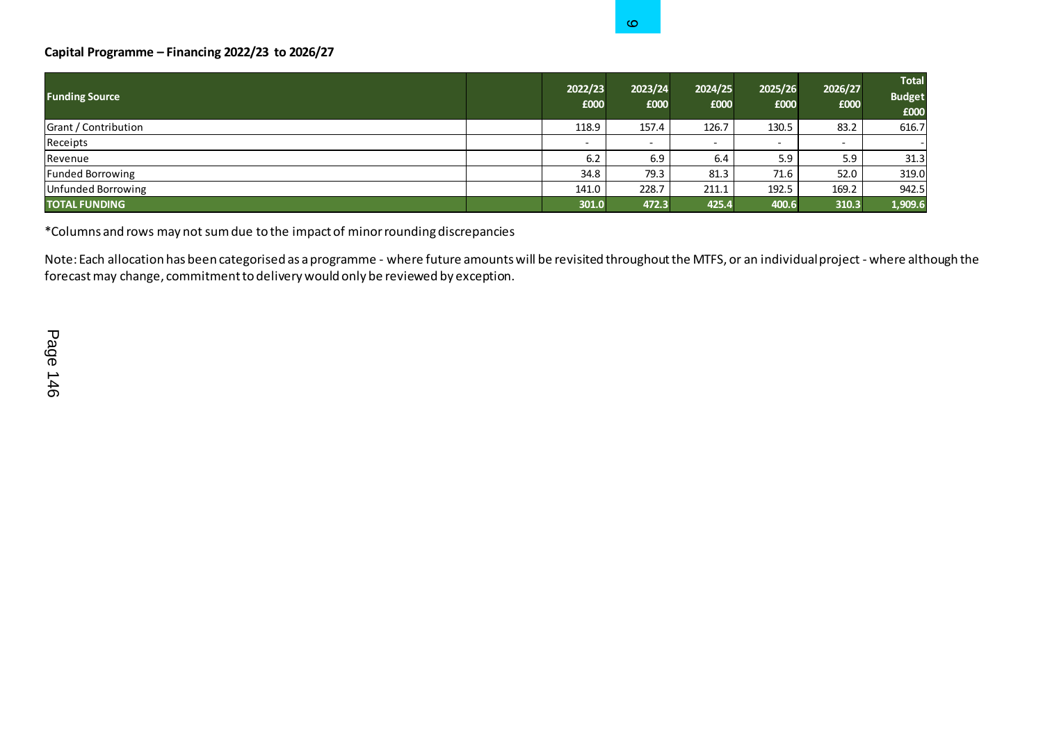## **Capital Programme – Financing 2022/23 to 2026/27**

|                                                                                                                                                                                                                                                                                                                                      |                 | O.                       |                 |                 |                 |                                       |
|--------------------------------------------------------------------------------------------------------------------------------------------------------------------------------------------------------------------------------------------------------------------------------------------------------------------------------------|-----------------|--------------------------|-----------------|-----------------|-----------------|---------------------------------------|
| Capital Programme - Financing 2022/23 to 2026/27                                                                                                                                                                                                                                                                                     |                 |                          |                 |                 |                 |                                       |
| <b>Funding Source</b>                                                                                                                                                                                                                                                                                                                | 2022/23<br>£000 | 2023/24<br>£000          | 2024/25<br>£000 | 2025/26<br>£000 | 2026/27<br>£000 | <b>Total</b><br><b>Budget</b><br>£000 |
| Grant / Contribution                                                                                                                                                                                                                                                                                                                 | 118.9           | 157.4                    | 126.7           | 130.5           | 83.2            | 616.7                                 |
| Receipts                                                                                                                                                                                                                                                                                                                             |                 | $\overline{\phantom{a}}$ |                 | $\sim$          |                 |                                       |
| Revenue                                                                                                                                                                                                                                                                                                                              | 6.2             | 6.9                      | 6.4             | 5.9             | 5.9             | 31.3                                  |
| <b>Funded Borrowing</b>                                                                                                                                                                                                                                                                                                              | 34.8            | 79.3                     | 81.3            | 71.6            | 52.0            | 319.0                                 |
| <b>Unfunded Borrowing</b>                                                                                                                                                                                                                                                                                                            | 141.0           | 228.7                    | 211.1           | 192.5           | 169.2           | 942.5                                 |
| <b>TOTAL FUNDING</b>                                                                                                                                                                                                                                                                                                                 | 301.0           | 472.3                    | 425.4           | 400.6           | 310.3           | 1,909.6                               |
| *Columns and rows may not sum due to the impact of minor rounding discrepancies<br>Note: Each allocation has been categorised as a programme - where future amounts will be revisited throughout the MTFS, or an individual project - where alth<br>forecast may change, commitment to delivery would only be reviewed by exception. |                 |                          |                 |                 |                 |                                       |
| Page<br>146                                                                                                                                                                                                                                                                                                                          |                 |                          |                 |                 |                 |                                       |

Note: Each allocation has been categorised as a programme - where future amounts will be revisited throughout the MTFS, or an individual project - where although the forecast may change, commitment to delivery would only be reviewed by exception.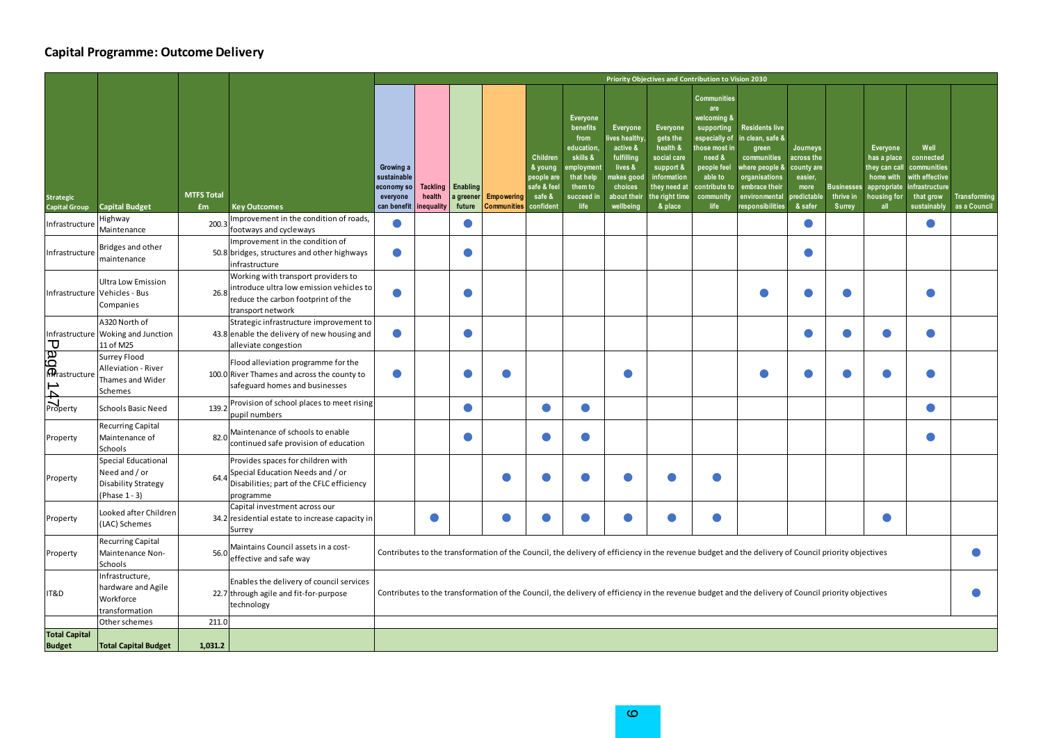## **Capital Programme: Outcome Delivery**

|                                                    |                                                                             |                         |                                                                                                                                            | Priority Objectives and Contribution to Vision 2030               |                                  |                                 |                                  |                                                                        |                                                                                                                 |                                                                                                                   |                                                                                                                                |                                                                                                                                                                   |                                                                                                                                                           |                                                                                  |                                                 |                                                                                            |                                                                                                  |                              |
|----------------------------------------------------|-----------------------------------------------------------------------------|-------------------------|--------------------------------------------------------------------------------------------------------------------------------------------|-------------------------------------------------------------------|----------------------------------|---------------------------------|----------------------------------|------------------------------------------------------------------------|-----------------------------------------------------------------------------------------------------------------|-------------------------------------------------------------------------------------------------------------------|--------------------------------------------------------------------------------------------------------------------------------|-------------------------------------------------------------------------------------------------------------------------------------------------------------------|-----------------------------------------------------------------------------------------------------------------------------------------------------------|----------------------------------------------------------------------------------|-------------------------------------------------|--------------------------------------------------------------------------------------------|--------------------------------------------------------------------------------------------------|------------------------------|
| Strategic<br>Capital Group                         | <b>Capital Budget</b>                                                       | <b>MTFS Total</b><br>£m | <b>Key Outcomes</b>                                                                                                                        | Growing a<br>sustainable<br>economy so<br>everyone<br>can benefit | Tackling<br>health<br>inequality | Enabling<br>a greener<br>future | <b>Empowering</b><br>Communities | Children<br>& young<br>people are<br>safe & fee<br>safe &<br>confident | Everyone<br>benefits<br>from<br>education<br>skills &<br>mploymen<br>that help<br>them to<br>succeed in<br>life | Everyone<br>ves healthy<br>active &<br>fulfilling<br>lives &<br>iakes gooc<br>choices<br>about their<br>wellbeing | <b>Everyone</b><br>gets the<br>health &<br>social care<br>support &<br>information<br>they need at<br>he right time<br>& place | <b>Communities</b><br>are<br>velcoming &<br>supporting<br>especially of<br>າose most in<br>need &<br>people feel<br>able to<br>contribute to<br>community<br>life | <b>Residents live</b><br>n clean, safe &<br>green<br>communities<br>where people &<br>organisations<br>embrace their<br>environmental<br>responsibilities | Journeys<br>across the<br>county are<br>easier,<br>more<br>redictable<br>& safer | <b>Businesses</b><br>thrive in<br><b>Surrey</b> | Everyone<br>has a place<br>they can call<br>home with<br>appropriate<br>housing for<br>all | Well<br>connected<br>communities<br>with effective<br>infrastructure<br>that grow<br>sustainably | Transforming<br>as a Council |
| Infrastructure                                     | Highway<br>Maintenance                                                      | 200.3                   | Improvement in the condition of roads,<br>footways and cycleways                                                                           | C                                                                 |                                  |                                 |                                  |                                                                        |                                                                                                                 |                                                                                                                   |                                                                                                                                |                                                                                                                                                                   |                                                                                                                                                           |                                                                                  |                                                 |                                                                                            | O                                                                                                |                              |
| Infrastructure                                     | Bridges and other<br>maintenance                                            |                         | Improvement in the condition of<br>50.8 bridges, structures and other highways<br>nfrastructure                                            | O                                                                 |                                  |                                 |                                  |                                                                        |                                                                                                                 |                                                                                                                   |                                                                                                                                |                                                                                                                                                                   |                                                                                                                                                           | œ                                                                                |                                                 |                                                                                            |                                                                                                  |                              |
| Infrastructure                                     | Ultra Low Emission<br>Vehicles - Bus<br>Companies                           | 26.8                    | Working with transport providers to<br>introduce ultra low emission vehicles to<br>reduce the carbon footprint of the<br>transport network |                                                                   |                                  |                                 |                                  |                                                                        |                                                                                                                 |                                                                                                                   |                                                                                                                                |                                                                                                                                                                   |                                                                                                                                                           |                                                                                  |                                                 |                                                                                            | e                                                                                                |                              |
|                                                    | A320 North of<br>Infrastructure Woking and Junction<br>11 of M25            |                         | Strategic infrastructure improvement to<br>43.8 enable the delivery of new housing and<br>alleviate congestion                             | O                                                                 |                                  | 0                               |                                  |                                                                        |                                                                                                                 |                                                                                                                   |                                                                                                                                |                                                                                                                                                                   |                                                                                                                                                           | ●                                                                                | O                                               | $\bullet$                                                                                  | $\bullet$                                                                                        |                              |
| $\begin{array}{c}\n\hline\n\hline\nD\n\end{array}$ | Surrey Flood<br>Alleviation - River<br>Thames and Wider<br>Schemes          |                         | Flood alleviation programme for the<br>100.0 River Thames and across the county to<br>safeguard homes and businesses                       | C                                                                 |                                  |                                 |                                  |                                                                        |                                                                                                                 |                                                                                                                   |                                                                                                                                |                                                                                                                                                                   |                                                                                                                                                           |                                                                                  |                                                 |                                                                                            |                                                                                                  |                              |
|                                                    | Schools Basic Need                                                          | 139.2                   | Provision of school places to meet rising<br>pupil numbers                                                                                 |                                                                   |                                  |                                 |                                  | $\bullet$                                                              | $\bullet$                                                                                                       |                                                                                                                   |                                                                                                                                |                                                                                                                                                                   |                                                                                                                                                           |                                                                                  |                                                 |                                                                                            | $\bullet$                                                                                        |                              |
| Property                                           | Recurring Capital<br>Maintenance of<br>Schools                              | 82.0                    | Maintenance of schools to enable<br>continued safe provision of education                                                                  |                                                                   |                                  |                                 |                                  |                                                                        | $\bullet$                                                                                                       |                                                                                                                   |                                                                                                                                |                                                                                                                                                                   |                                                                                                                                                           |                                                                                  |                                                 |                                                                                            |                                                                                                  |                              |
| Property                                           | Special Educational<br>Need and / or<br>Disability Strategy<br>Phase 1 - 3) |                         | Provides spaces for children with<br>Special Education Needs and / or<br>Disabilities; part of the CFLC efficiency<br>programme            |                                                                   |                                  |                                 |                                  |                                                                        |                                                                                                                 |                                                                                                                   |                                                                                                                                |                                                                                                                                                                   |                                                                                                                                                           |                                                                                  |                                                 |                                                                                            |                                                                                                  |                              |
| Property                                           | ooked after Children<br>LAC) Schemes                                        |                         | Capital investment across our<br>34.2 residential estate to increase capacity in<br>Surrey                                                 |                                                                   | O                                |                                 | O                                | $\bullet$                                                              | $\bullet$                                                                                                       |                                                                                                                   |                                                                                                                                | G                                                                                                                                                                 |                                                                                                                                                           |                                                                                  |                                                 |                                                                                            |                                                                                                  |                              |
| Property                                           | Recurring Capital<br>Maintenance Non-<br>Schools                            | 56.0                    | Maintains Council assets in a cost-<br>effective and safe way                                                                              |                                                                   |                                  |                                 |                                  |                                                                        |                                                                                                                 |                                                                                                                   |                                                                                                                                |                                                                                                                                                                   | Contributes to the transformation of the Council, the delivery of efficiency in the revenue budget and the delivery of Council priority objectives        |                                                                                  |                                                 |                                                                                            |                                                                                                  |                              |
| IT&D                                               | nfrastructure,<br>nardware and Agile<br>Workforce<br>ransformation          |                         | Enables the delivery of council services<br>22.7 through agile and fit-for-purpose<br>technology                                           |                                                                   |                                  |                                 |                                  |                                                                        |                                                                                                                 |                                                                                                                   |                                                                                                                                |                                                                                                                                                                   | Contributes to the transformation of the Council, the delivery of efficiency in the revenue budget and the delivery of Council priority objectives        |                                                                                  |                                                 |                                                                                            |                                                                                                  |                              |
|                                                    | Other schemes                                                               | 211.0                   |                                                                                                                                            |                                                                   |                                  |                                 |                                  |                                                                        |                                                                                                                 |                                                                                                                   |                                                                                                                                |                                                                                                                                                                   |                                                                                                                                                           |                                                                                  |                                                 |                                                                                            |                                                                                                  |                              |
| <b>Total Capital</b><br><b>Budget</b>              | <b>Total Capital Budget</b>                                                 | 1.031.2                 |                                                                                                                                            |                                                                   |                                  |                                 |                                  |                                                                        |                                                                                                                 |                                                                                                                   |                                                                                                                                |                                                                                                                                                                   |                                                                                                                                                           |                                                                                  |                                                 |                                                                                            |                                                                                                  |                              |